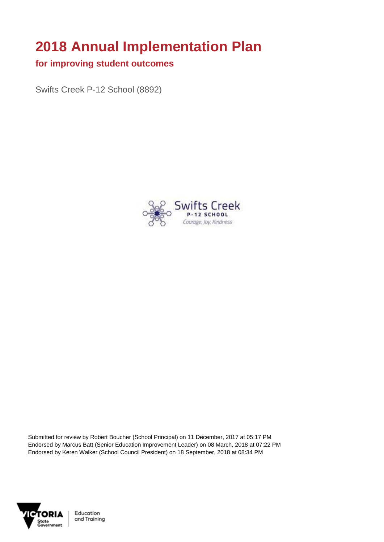# **2018 Annual Implementation Plan**

#### **for improving student outcomes**

Swifts Creek P-12 School (8892)



Submitted for review by Robert Boucher (School Principal) on 11 December, 2017 at 05:17 PM Endorsed by Marcus Batt (Senior Education Improvement Leader) on 08 March, 2018 at 07:22 PM Endorsed by Keren Walker (School Council President) on 18 September, 2018 at 08:34 PM



Education and Training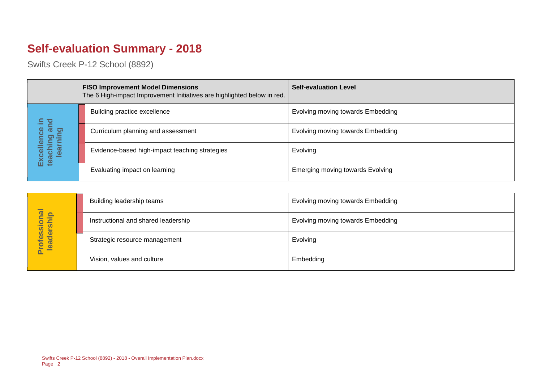## **Self-evaluation Summary - 2018**

|  |                                       | <b>FISO Improvement Model Dimensions</b><br>The 6 High-impact Improvement Initiatives are highlighted below in red. | <b>Self-evaluation Level</b>            |
|--|---------------------------------------|---------------------------------------------------------------------------------------------------------------------|-----------------------------------------|
|  | 르.                                    | Building practice excellence                                                                                        | Evolving moving towards Embedding       |
|  | ue<br>ဖွ                              | Curriculum planning and assessment                                                                                  | Evolving moving towards Embedding       |
|  | Excellence<br>teaching ar<br>learning | Evidence-based high-impact teaching strategies                                                                      | Evolving                                |
|  |                                       | Evaluating impact on learning                                                                                       | <b>Emerging moving towards Evolving</b> |

|                                 | Building leadership teams           | Evolving moving towards Embedding |
|---------------------------------|-------------------------------------|-----------------------------------|
|                                 | Instructional and shared leadership | Evolving moving towards Embedding |
| Professional<br>leadership<br>ă | Strategic resource management       | Evolving                          |
|                                 | Vision, values and culture          | Embedding                         |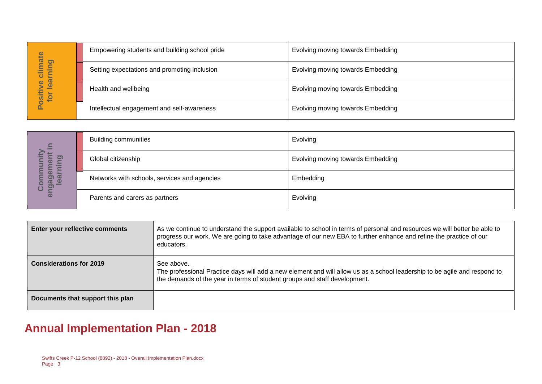| imate                                  | Empowering students and building school pride | Evolving moving towards Embedding |
|----------------------------------------|-----------------------------------------------|-----------------------------------|
| <b>la</b><br>∕≡<br>=<br>$\overline{c}$ | Setting expectations and promoting inclusion  | Evolving moving towards Embedding |
| lear<br>Ó<br>Positiv<br>tor            | Health and wellbeing                          | Evolving moving towards Embedding |
|                                        | Intellectual engagement and self-awareness    | Evolving moving towards Embedding |

| 르.                                                      | <b>Building communities</b>                  | Evolving                          |
|---------------------------------------------------------|----------------------------------------------|-----------------------------------|
| ><br>$\overline{O}$<br>Φ<br>Ē<br>▬                      | Global citizenship                           | Evolving moving towards Embedding |
| ▬<br>$\bullet$<br>Ø<br>91<br><u>യ</u><br><u>ಸ</u><br>ပိ | Networks with schools, services and agencies | Embedding                         |
| <b>G</b>                                                | Parents and carers as partners               | Evolving                          |

|                                        |                                                                           | Empowering students and building school phae                                            | $\blacksquare$ convirig moving towards $\blacksquare$ impedding                                                                                                                                                                                 |
|----------------------------------------|---------------------------------------------------------------------------|-----------------------------------------------------------------------------------------|-------------------------------------------------------------------------------------------------------------------------------------------------------------------------------------------------------------------------------------------------|
|                                        |                                                                           | Setting expectations and promoting inclusion                                            | Evolving moving towards Embedding                                                                                                                                                                                                               |
| Positive climate<br>for learning       | Health and wellbeing                                                      |                                                                                         | Evolving moving towards Embedding                                                                                                                                                                                                               |
|                                        |                                                                           | Intellectual engagement and self-awareness                                              | Evolving moving towards Embedding                                                                                                                                                                                                               |
|                                        |                                                                           |                                                                                         |                                                                                                                                                                                                                                                 |
|                                        | <b>Building communities</b>                                               |                                                                                         | Evolving                                                                                                                                                                                                                                        |
|                                        | Global citizenship                                                        |                                                                                         | Evolving moving towards Embedding                                                                                                                                                                                                               |
| engagement in<br>learning<br>Community |                                                                           | Networks with schools, services and agencies                                            | Embedding                                                                                                                                                                                                                                       |
|                                        | Parents and carers as partners                                            |                                                                                         | Evolving                                                                                                                                                                                                                                        |
|                                        |                                                                           |                                                                                         |                                                                                                                                                                                                                                                 |
| Enter your reflective comments         |                                                                           | educators.                                                                              | As we continue to understand the support available to school in terms of personal and resources we will better be able to<br>progress our work. We are going to take advantage of our new EBA to further enhance and refine the practice of our |
| <b>Considerations for 2019</b>         |                                                                           | See above.<br>the demands of the year in terms of student groups and staff development. | The professional Practice days will add a new element and will allow us as a school leadership to be agile and respond to                                                                                                                       |
| Documents that support this plan       |                                                                           |                                                                                         |                                                                                                                                                                                                                                                 |
|                                        | <b>Annual Implementation Plan - 2018</b>                                  |                                                                                         |                                                                                                                                                                                                                                                 |
| Page 3                                 | Swifts Creek P-12 School (8892) - 2018 - Overall Implementation Plan.docx |                                                                                         |                                                                                                                                                                                                                                                 |

## **Annual Implementation Plan - 2018**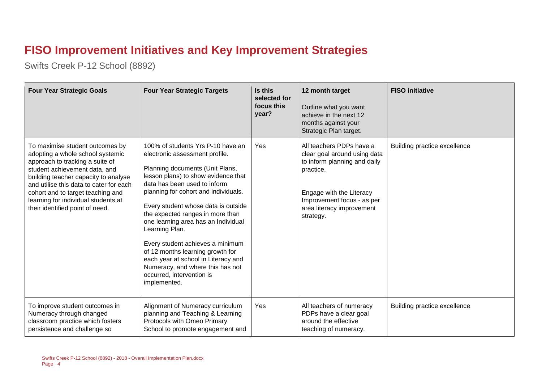### **FISO Improvement Initiatives and Key Improvement Strategies**

| <b>Four Year Strategic Goals</b>                                                                                                                                                                                                                                                                                                          | <b>Four Year Strategic Targets</b>                                                                                                                                                                                                                                                                                                                                                                                                                                                                                                                        | Is this<br>selected for<br>focus this<br>year? | 12 month target<br>Outline what you want<br>achieve in the next 12<br>months against your<br>Strategic Plan target.                                                                                       | <b>FISO</b> initiative       |
|-------------------------------------------------------------------------------------------------------------------------------------------------------------------------------------------------------------------------------------------------------------------------------------------------------------------------------------------|-----------------------------------------------------------------------------------------------------------------------------------------------------------------------------------------------------------------------------------------------------------------------------------------------------------------------------------------------------------------------------------------------------------------------------------------------------------------------------------------------------------------------------------------------------------|------------------------------------------------|-----------------------------------------------------------------------------------------------------------------------------------------------------------------------------------------------------------|------------------------------|
| To maximise student outcomes by<br>adopting a whole school systemic<br>approach to tracking a suite of<br>student achievement data, and<br>building teacher capacity to analyse<br>and utilise this data to cater for each<br>cohort and to target teaching and<br>learning for individual students at<br>their identified point of need. | 100% of students Yrs P-10 have an<br>electronic assessment profile.<br>Planning documents (Unit Plans,<br>lesson plans) to show evidence that<br>data has been used to inform<br>planning for cohort and individuals.<br>Every student whose data is outside<br>the expected ranges in more than<br>one learning area has an Individual<br>Learning Plan.<br>Every student achieves a minimum<br>of 12 months learning growth for<br>each year at school in Literacy and<br>Numeracy, and where this has not<br>occurred, intervention is<br>implemented. | Yes                                            | All teachers PDPs have a<br>clear goal around using data<br>to inform planning and daily<br>practice.<br>Engage with the Literacy<br>Improvement focus - as per<br>area literacy improvement<br>strategy. | Building practice excellence |
| To improve student outcomes in<br>Numeracy through changed<br>classroom practice which fosters<br>persistence and challenge so                                                                                                                                                                                                            | Alignment of Numeracy curriculum<br>planning and Teaching & Learning<br>Protocols with Omeo Primary<br>School to promote engagement and                                                                                                                                                                                                                                                                                                                                                                                                                   | Yes                                            | All teachers of numeracy<br>PDPs have a clear goal<br>around the effective<br>teaching of numeracy.                                                                                                       | Building practice excellence |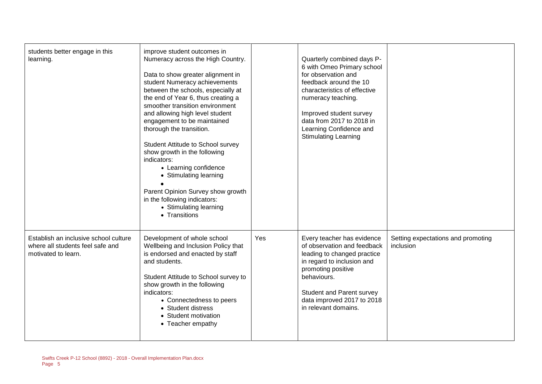| students better engage in this<br>learning.                                                      | improve student outcomes in<br>Numeracy across the High Country.<br>Data to show greater alignment in<br>student Numeracy achievements<br>between the schools, especially at<br>the end of Year 6, thus creating a<br>smoother transition environment<br>and allowing high level student<br>engagement to be maintained<br>thorough the transition.<br>Student Attitude to School survey<br>show growth in the following<br>indicators:<br>• Learning confidence<br>• Stimulating learning<br>Parent Opinion Survey show growth<br>in the following indicators:<br>• Stimulating learning<br>• Transitions |     | Quarterly combined days P-<br>6 with Omeo Primary school<br>for observation and<br>feedback around the 10<br>characteristics of effective<br>numeracy teaching.<br>Improved student survey<br>data from 2017 to 2018 in<br>Learning Confidence and<br><b>Stimulating Learning</b> |                                                 |
|--------------------------------------------------------------------------------------------------|------------------------------------------------------------------------------------------------------------------------------------------------------------------------------------------------------------------------------------------------------------------------------------------------------------------------------------------------------------------------------------------------------------------------------------------------------------------------------------------------------------------------------------------------------------------------------------------------------------|-----|-----------------------------------------------------------------------------------------------------------------------------------------------------------------------------------------------------------------------------------------------------------------------------------|-------------------------------------------------|
| Establish an inclusive school culture<br>where all students feel safe and<br>motivated to learn. | Development of whole school<br>Wellbeing and Inclusion Policy that<br>is endorsed and enacted by staff<br>and students.<br>Student Attitude to School survey to<br>show growth in the following<br>indicators:<br>• Connectedness to peers<br>• Student distress<br>• Student motivation<br>• Teacher empathy                                                                                                                                                                                                                                                                                              | Yes | Every teacher has evidence<br>of observation and feedback<br>leading to changed practice<br>in regard to inclusion and<br>promoting positive<br>behaviours.<br>Student and Parent survey<br>data improved 2017 to 2018<br>in relevant domains.                                    | Setting expectations and promoting<br>inclusion |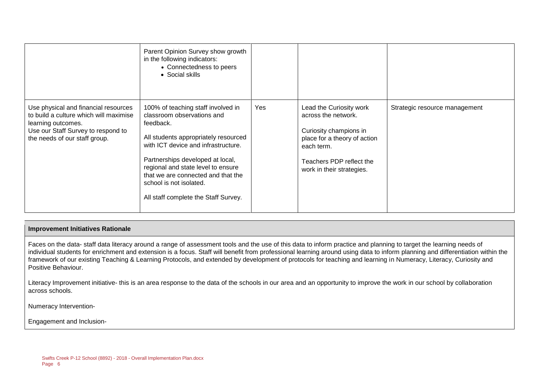|                                                                                                                                                                             | Parent Opinion Survey show growth<br>in the following indicators:<br>• Connectedness to peers<br>• Social skills                                                                                                                                                                                                                                |     |                                                                                                                                                                                 |                               |
|-----------------------------------------------------------------------------------------------------------------------------------------------------------------------------|-------------------------------------------------------------------------------------------------------------------------------------------------------------------------------------------------------------------------------------------------------------------------------------------------------------------------------------------------|-----|---------------------------------------------------------------------------------------------------------------------------------------------------------------------------------|-------------------------------|
| Use physical and financial resources<br>to build a culture which will maximise<br>learning outcomes.<br>Use our Staff Survey to respond to<br>the needs of our staff group. | 100% of teaching staff involved in<br>classroom observations and<br>feedback.<br>All students appropriately resourced<br>with ICT device and infrastructure.<br>Partnerships developed at local,<br>regional and state level to ensure<br>that we are connected and that the<br>school is not isolated.<br>All staff complete the Staff Survey. | Yes | Lead the Curiosity work<br>across the network.<br>Curiosity champions in<br>place for a theory of action<br>each term.<br>Teachers PDP reflect the<br>work in their strategies. | Strategic resource management |

#### **Improvement Initiatives Rationale**

Faces on the data- staff data literacy around a range of assessment tools and the use of this data to inform practice and planning to target the learning needs of individual students for enrichment and extension is a focus. Staff will benefit from professional learning around using data to inform planning and differentiation within the framework of our existing Teaching & Learning Protocols, and extended by development of protocols for teaching and learning in Numeracy, Literacy, Curiosity and Positive Behaviour.

Literacy Improvement initiative- this is an area response to the data of the schools in our area and an opportunity to improve the work in our school by collaboration across schools.

Numeracy Intervention-

Engagement and Inclusion-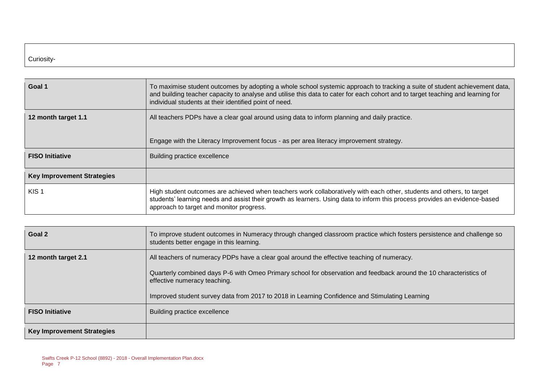#### Curiosity-

| Goal 1                            | To maximise student outcomes by adopting a whole school systemic approach to tracking a suite of student achievement data,<br>and building teacher capacity to analyse and utilise this data to cater for each cohort and to target teaching and learning for<br>individual students at their identified point of need. |  |  |
|-----------------------------------|-------------------------------------------------------------------------------------------------------------------------------------------------------------------------------------------------------------------------------------------------------------------------------------------------------------------------|--|--|
| 12 month target 1.1               | All teachers PDPs have a clear goal around using data to inform planning and daily practice.<br>Engage with the Literacy Improvement focus - as per area literacy improvement strategy.                                                                                                                                 |  |  |
| <b>FISO Initiative</b>            | Building practice excellence                                                                                                                                                                                                                                                                                            |  |  |
| <b>Key Improvement Strategies</b> |                                                                                                                                                                                                                                                                                                                         |  |  |
| KIS <sub>1</sub>                  | High student outcomes are achieved when teachers work collaboratively with each other, students and others, to target<br>students' learning needs and assist their growth as learners. Using data to inform this process provides an evidence-based<br>approach to target and monitor progress.                         |  |  |

| Goal 2                            | To improve student outcomes in Numeracy through changed classroom practice which fosters persistence and challenge so<br>students better engage in this learning. |
|-----------------------------------|-------------------------------------------------------------------------------------------------------------------------------------------------------------------|
| 12 month target 2.1               | All teachers of numeracy PDPs have a clear goal around the effective teaching of numeracy.                                                                        |
|                                   | Quarterly combined days P-6 with Omeo Primary school for observation and feedback around the 10 characteristics of<br>effective numeracy teaching.                |
|                                   | Improved student survey data from 2017 to 2018 in Learning Confidence and Stimulating Learning                                                                    |
| <b>FISO Initiative</b>            | Building practice excellence                                                                                                                                      |
| <b>Key Improvement Strategies</b> |                                                                                                                                                                   |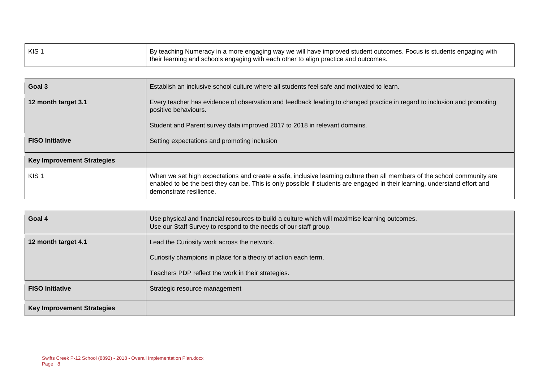| $ $ KIS | <sup>∣</sup> By teaching Numeracy in a more engaging way we will have improved student outcomes. Focus is students engaging with<br>their learning and schools engaging with each other to align practice and outcomes. |
|---------|-------------------------------------------------------------------------------------------------------------------------------------------------------------------------------------------------------------------------|
|         |                                                                                                                                                                                                                         |

| Goal 3                            | Establish an inclusive school culture where all students feel safe and motivated to learn.                                                                                                                                                                                        |  |  |
|-----------------------------------|-----------------------------------------------------------------------------------------------------------------------------------------------------------------------------------------------------------------------------------------------------------------------------------|--|--|
| 12 month target 3.1               | Every teacher has evidence of observation and feedback leading to changed practice in regard to inclusion and promoting<br>positive behaviours.<br>Student and Parent survey data improved 2017 to 2018 in relevant domains.                                                      |  |  |
| <b>FISO Initiative</b>            | Setting expectations and promoting inclusion                                                                                                                                                                                                                                      |  |  |
| <b>Key Improvement Strategies</b> |                                                                                                                                                                                                                                                                                   |  |  |
| KIS <sub>1</sub>                  | When we set high expectations and create a safe, inclusive learning culture then all members of the school community are<br>enabled to be the best they can be. This is only possible if students are engaged in their learning, understand effort and<br>demonstrate resilience. |  |  |

| Goal 4                            | Use physical and financial resources to build a culture which will maximise learning outcomes.<br>Use our Staff Survey to respond to the needs of our staff group. |
|-----------------------------------|--------------------------------------------------------------------------------------------------------------------------------------------------------------------|
| 12 month target 4.1               | Lead the Curiosity work across the network.                                                                                                                        |
|                                   | Curiosity champions in place for a theory of action each term.                                                                                                     |
|                                   | Teachers PDP reflect the work in their strategies.                                                                                                                 |
| <b>FISO Initiative</b>            | Strategic resource management                                                                                                                                      |
| <b>Key Improvement Strategies</b> |                                                                                                                                                                    |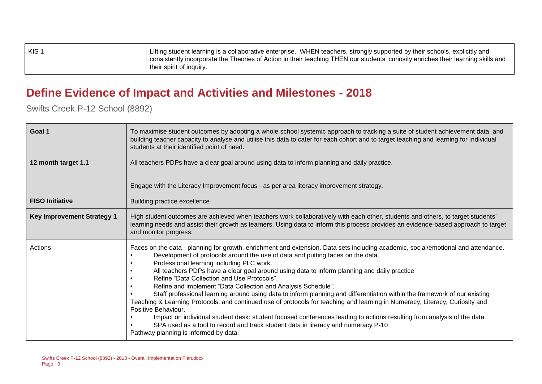| ∣ KIS ′ | Lifting student learning is a collaborative enterprise. WHEN teachers, strongly supported by their schools, explicitly and<br>consistently incorporate the Theories of Action in their teaching THEN our students' curiosity enriches their learning skills and<br>their spirit of inquiry. |
|---------|---------------------------------------------------------------------------------------------------------------------------------------------------------------------------------------------------------------------------------------------------------------------------------------------|
|         |                                                                                                                                                                                                                                                                                             |

#### **Define Evidence of Impact and Activities and Milestones - 2018**

| Goal 1                            | To maximise student outcomes by adopting a whole school systemic approach to tracking a suite of student achievement data, and<br>building teacher capacity to analyse and utilise this data to cater for each cohort and to target teaching and learning for individual<br>students at their identified point of need.                                                                                                                                                                                                                                                                                                                                                                                                                                                                                                                                                                                                                                                                                                    |
|-----------------------------------|----------------------------------------------------------------------------------------------------------------------------------------------------------------------------------------------------------------------------------------------------------------------------------------------------------------------------------------------------------------------------------------------------------------------------------------------------------------------------------------------------------------------------------------------------------------------------------------------------------------------------------------------------------------------------------------------------------------------------------------------------------------------------------------------------------------------------------------------------------------------------------------------------------------------------------------------------------------------------------------------------------------------------|
| 12 month target 1.1               | All teachers PDPs have a clear goal around using data to inform planning and daily practice.                                                                                                                                                                                                                                                                                                                                                                                                                                                                                                                                                                                                                                                                                                                                                                                                                                                                                                                               |
|                                   | Engage with the Literacy Improvement focus - as per area literacy improvement strategy.                                                                                                                                                                                                                                                                                                                                                                                                                                                                                                                                                                                                                                                                                                                                                                                                                                                                                                                                    |
| <b>FISO Initiative</b>            | Building practice excellence                                                                                                                                                                                                                                                                                                                                                                                                                                                                                                                                                                                                                                                                                                                                                                                                                                                                                                                                                                                               |
| <b>Key Improvement Strategy 1</b> | High student outcomes are achieved when teachers work collaboratively with each other, students and others, to target students'<br>learning needs and assist their growth as learners. Using data to inform this process provides an evidence-based approach to target<br>and monitor progress.                                                                                                                                                                                                                                                                                                                                                                                                                                                                                                                                                                                                                                                                                                                            |
| Actions                           | Faces on the data - planning for growth, enrichment and extension. Data sets including academic, social/emotional and attendance.<br>Development of protocols around the use of data and putting faces on the data.<br>Professional learning including PLC work.<br>All teachers PDPs have a clear goal around using data to inform planning and daily practice<br>Refine "Data Collection and Use Protocols".<br>Refine and implement "Data Collection and Analysis Schedule".<br>Staff professional learning around using data to inform planning and differentiation within the framework of our existing<br>Teaching & Learning Protocols, and continued use of protocols for teaching and learning in Numeracy, Literacy, Curiosity and<br>Positive Behaviour.<br>Impact on individual student desk: student focused conferences leading to actions resulting from analysis of the data<br>SPA used as a tool to record and track student data in literacy and numeracy P-10<br>Pathway planning is informed by data. |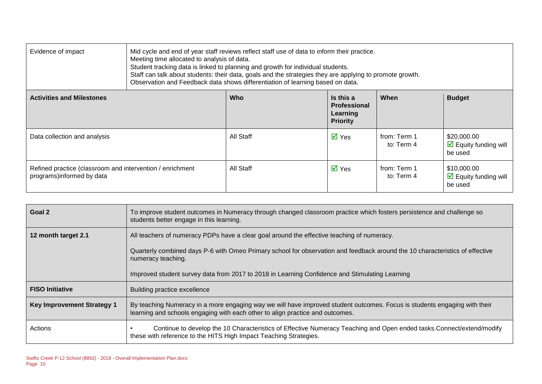| Evidence of impact                                                                      | Mid cycle and end of year staff reviews reflect staff use of data to inform their practice.<br>Meeting time allocated to analysis of data.<br>Student tracking data is linked to planning and growth for individual students.<br>Staff can talk about students: their data, goals and the strategies they are applying to promote growth.<br>Observation and Feedback data shows differentiation of learning based on data. |            |                                                                 |                            |                                                                |  |
|-----------------------------------------------------------------------------------------|-----------------------------------------------------------------------------------------------------------------------------------------------------------------------------------------------------------------------------------------------------------------------------------------------------------------------------------------------------------------------------------------------------------------------------|------------|-----------------------------------------------------------------|----------------------------|----------------------------------------------------------------|--|
| <b>Activities and Milestones</b>                                                        |                                                                                                                                                                                                                                                                                                                                                                                                                             | <b>Who</b> | Is this a<br><b>Professional</b><br>Learning<br><b>Priority</b> | When                       | <b>Budget</b>                                                  |  |
| Data collection and analysis                                                            |                                                                                                                                                                                                                                                                                                                                                                                                                             | All Staff  | $\overline{\mathsf{M}}$ Yes                                     | from: Term 1<br>to: Term 4 | \$20,000.00<br>$\triangleright$ Equity funding will<br>be used |  |
| Refined practice (classroom and intervention / enrichment<br>programs) informed by data |                                                                                                                                                                                                                                                                                                                                                                                                                             | All Staff  | $\overline{\mathsf{M}}$ Yes                                     | from: Term 1<br>to: Term 4 | \$10,000.00<br>$\triangleright$ Equity funding will<br>be used |  |

| Goal 2                            | To improve student outcomes in Numeracy through changed classroom practice which fosters persistence and challenge so<br>students better engage in this learning.                                          |
|-----------------------------------|------------------------------------------------------------------------------------------------------------------------------------------------------------------------------------------------------------|
| 12 month target 2.1               | All teachers of numeracy PDPs have a clear goal around the effective teaching of numeracy.                                                                                                                 |
|                                   | Quarterly combined days P-6 with Omeo Primary school for observation and feedback around the 10 characteristics of effective<br>numeracy teaching.                                                         |
|                                   | Improved student survey data from 2017 to 2018 in Learning Confidence and Stimulating Learning                                                                                                             |
| <b>FISO Initiative</b>            | Building practice excellence                                                                                                                                                                               |
| <b>Key Improvement Strategy 1</b> | By teaching Numeracy in a more engaging way we will have improved student outcomes. Focus is students engaging with their<br>learning and schools engaging with each other to align practice and outcomes. |
| Actions                           | Continue to develop the 10 Characteristics of Effective Numeracy Teaching and Open ended tasks.Connect/extend/modify<br>these with reference to the HITS High Impact Teaching Strategies.                  |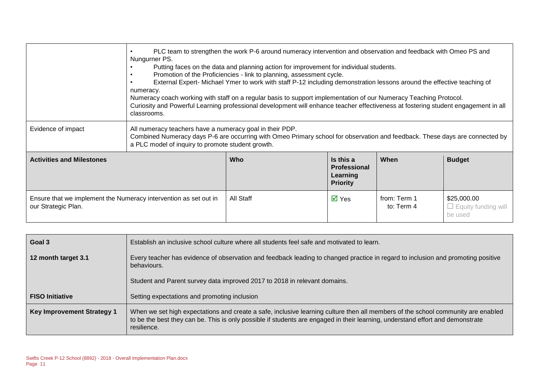|                                                                                         | PLC team to strengthen the work P-6 around numeracy intervention and observation and feedback with Omeo PS and<br>Nungurner PS.<br>Putting faces on the data and planning action for improvement for individual students.<br>Promotion of the Proficiencies - link to planning, assessment cycle.<br>External Expert- Michael Ymer to work with staff P-12 including demonstration lessons around the effective teaching of<br>numeracy.<br>Numeracy coach working with staff on a regular basis to support implementation of our Numeracy Teaching Protocol.<br>Curiosity and Powerful Learning professional development will enhance teacher effectiveness at fostering student engagement in all<br>classrooms. |           |                                                                 |                            |                                                      |
|-----------------------------------------------------------------------------------------|--------------------------------------------------------------------------------------------------------------------------------------------------------------------------------------------------------------------------------------------------------------------------------------------------------------------------------------------------------------------------------------------------------------------------------------------------------------------------------------------------------------------------------------------------------------------------------------------------------------------------------------------------------------------------------------------------------------------|-----------|-----------------------------------------------------------------|----------------------------|------------------------------------------------------|
| Evidence of impact                                                                      | All numeracy teachers have a numeracy goal in their PDP.<br>Combined Numeracy days P-6 are occurring with Omeo Primary school for observation and feedback. These days are connected by<br>a PLC model of inquiry to promote student growth.                                                                                                                                                                                                                                                                                                                                                                                                                                                                       |           |                                                                 |                            |                                                      |
| <b>Activities and Milestones</b>                                                        |                                                                                                                                                                                                                                                                                                                                                                                                                                                                                                                                                                                                                                                                                                                    | Who       | Is this a<br><b>Professional</b><br>Learning<br><b>Priority</b> | When                       | <b>Budget</b>                                        |
| Ensure that we implement the Numeracy intervention as set out in<br>our Strategic Plan. |                                                                                                                                                                                                                                                                                                                                                                                                                                                                                                                                                                                                                                                                                                                    | All Staff | $\overline{\mathsf{M}}$ Yes                                     | from: Term 1<br>to: Term 4 | \$25,000.00<br>$\Box$ Equity funding will<br>be used |

| Goal 3                            | Establish an inclusive school culture where all students feel safe and motivated to learn.                                                                                                                                                                                        |  |  |  |  |  |  |
|-----------------------------------|-----------------------------------------------------------------------------------------------------------------------------------------------------------------------------------------------------------------------------------------------------------------------------------|--|--|--|--|--|--|
| 12 month target 3.1               | Every teacher has evidence of observation and feedback leading to changed practice in regard to inclusion and promoting positive<br>behaviours.                                                                                                                                   |  |  |  |  |  |  |
|                                   | Student and Parent survey data improved 2017 to 2018 in relevant domains.                                                                                                                                                                                                         |  |  |  |  |  |  |
| <b>FISO Initiative</b>            | Setting expectations and promoting inclusion                                                                                                                                                                                                                                      |  |  |  |  |  |  |
| <b>Key Improvement Strategy 1</b> | When we set high expectations and create a safe, inclusive learning culture then all members of the school community are enabled<br>to be the best they can be. This is only possible if students are engaged in their learning, understand effort and demonstrate<br>resilience. |  |  |  |  |  |  |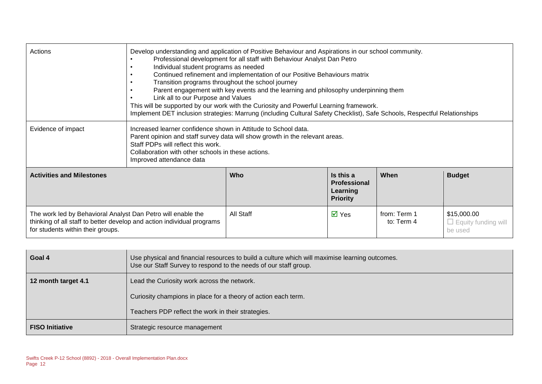| Actions                                                                                                                                                                     | Develop understanding and application of Positive Behaviour and Aspirations in our school community.<br>Professional development for all staff with Behaviour Analyst Dan Petro<br>Individual student programs as needed<br>Continued refinement and implementation of our Positive Behaviours matrix<br>Transition programs throughout the school journey<br>Parent engagement with key events and the learning and philosophy underpinning them<br>Link all to our Purpose and Values<br>This will be supported by our work with the Curiosity and Powerful Learning framework.<br>Implement DET inclusion strategies: Marrung (including Cultural Safety Checklist), Safe Schools, Respectful Relationships |           |                                                                 |                            |                                                      |
|-----------------------------------------------------------------------------------------------------------------------------------------------------------------------------|----------------------------------------------------------------------------------------------------------------------------------------------------------------------------------------------------------------------------------------------------------------------------------------------------------------------------------------------------------------------------------------------------------------------------------------------------------------------------------------------------------------------------------------------------------------------------------------------------------------------------------------------------------------------------------------------------------------|-----------|-----------------------------------------------------------------|----------------------------|------------------------------------------------------|
| Evidence of impact                                                                                                                                                          | Increased learner confidence shown in Attitude to School data.<br>Parent opinion and staff survey data will show growth in the relevant areas.<br>Staff PDPs will reflect this work.<br>Collaboration with other schools in these actions.<br>Improved attendance data                                                                                                                                                                                                                                                                                                                                                                                                                                         |           |                                                                 |                            |                                                      |
| <b>Activities and Milestones</b>                                                                                                                                            |                                                                                                                                                                                                                                                                                                                                                                                                                                                                                                                                                                                                                                                                                                                | Who       | Is this a<br><b>Professional</b><br>Learning<br><b>Priority</b> | When                       | <b>Budget</b>                                        |
| The work led by Behavioral Analyst Dan Petro will enable the<br>thinking of all staff to better develop and action individual programs<br>for students within their groups. |                                                                                                                                                                                                                                                                                                                                                                                                                                                                                                                                                                                                                                                                                                                | All Staff | $\overline{M}$ Yes                                              | from: Term 1<br>to: Term 4 | \$15,000.00<br>$\Box$ Equity funding will<br>be used |

| Goal 4                 | Use physical and financial resources to build a culture which will maximise learning outcomes.<br>Use our Staff Survey to respond to the needs of our staff group. |  |  |  |  |  |
|------------------------|--------------------------------------------------------------------------------------------------------------------------------------------------------------------|--|--|--|--|--|
| 12 month target 4.1    | Lead the Curiosity work across the network.                                                                                                                        |  |  |  |  |  |
|                        | Curiosity champions in place for a theory of action each term.                                                                                                     |  |  |  |  |  |
|                        | Teachers PDP reflect the work in their strategies.                                                                                                                 |  |  |  |  |  |
| <b>FISO Initiative</b> | Strategic resource management                                                                                                                                      |  |  |  |  |  |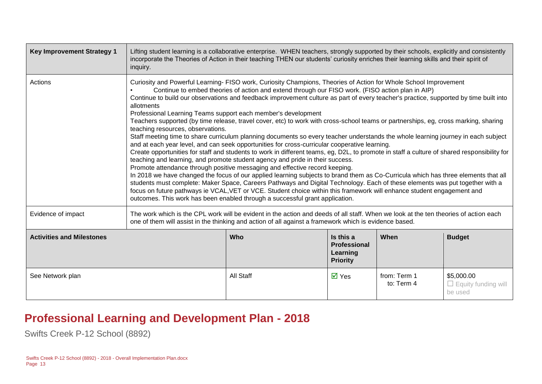| <b>Key Improvement Strategy 1</b> | Lifting student learning is a collaborative enterprise. WHEN teachers, strongly supported by their schools, explicitly and consistently<br>incorporate the Theories of Action in their teaching THEN our students' curiosity enriches their learning skills and their spirit of<br>inquiry.                                                                                                                                                                                                                                                                                                                                                                                                                                                                                                                                                                                                                                                                                                                                                                                                                                                                                                                                                                                                                                                                                                                                                                                                                                                                                                                                                                   |                  |                             |                            |                                                     |  |
|-----------------------------------|---------------------------------------------------------------------------------------------------------------------------------------------------------------------------------------------------------------------------------------------------------------------------------------------------------------------------------------------------------------------------------------------------------------------------------------------------------------------------------------------------------------------------------------------------------------------------------------------------------------------------------------------------------------------------------------------------------------------------------------------------------------------------------------------------------------------------------------------------------------------------------------------------------------------------------------------------------------------------------------------------------------------------------------------------------------------------------------------------------------------------------------------------------------------------------------------------------------------------------------------------------------------------------------------------------------------------------------------------------------------------------------------------------------------------------------------------------------------------------------------------------------------------------------------------------------------------------------------------------------------------------------------------------------|------------------|-----------------------------|----------------------------|-----------------------------------------------------|--|
| Actions                           | Curiosity and Powerful Learning- FISO work, Curiosity Champions, Theories of Action for Whole School Improvement<br>Continue to embed theories of action and extend through our FISO work. (FISO action plan in AIP)<br>Continue to build our observations and feedback improvement culture as part of every teacher's practice, supported by time built into<br>allotments<br>Professional Learning Teams support each member's development<br>Teachers supported (by time release, travel cover, etc) to work with cross-school teams or partnerships, eg, cross marking, sharing<br>teaching resources, observations.<br>Staff meeting time to share curriculum planning documents so every teacher understands the whole learning journey in each subject<br>and at each year level, and can seek opportunities for cross-curricular cooperative learning.<br>Create opportunities for staff and students to work in different teams, eg, D2L, to promote in staff a culture of shared responsibility for<br>teaching and learning, and promote student agency and pride in their success.<br>Promote attendance through positive messaging and effective record keeping.<br>In 2018 we have changed the focus of our applied learning subjects to brand them as Co-Curricula which has three elements that all<br>students must complete: Maker Space, Careers Pathways and Digital Technology. Each of these elements was put together with a<br>focus on future pathways ie VCAL, VET or VCE. Student choice within this framework will enhance student engagement and<br>outcomes. This work has been enabled through a successful grant application. |                  |                             |                            |                                                     |  |
| Evidence of impact                | The work which is the CPL work will be evident in the action and deeds of all staff. When we look at the ten theories of action each<br>one of them will assist in the thinking and action of all against a framework which is evidence based.                                                                                                                                                                                                                                                                                                                                                                                                                                                                                                                                                                                                                                                                                                                                                                                                                                                                                                                                                                                                                                                                                                                                                                                                                                                                                                                                                                                                                |                  |                             |                            |                                                     |  |
| <b>Activities and Milestones</b>  | Who<br>Is this a<br>When<br><b>Budget</b><br><b>Professional</b><br>Learning<br><b>Priority</b>                                                                                                                                                                                                                                                                                                                                                                                                                                                                                                                                                                                                                                                                                                                                                                                                                                                                                                                                                                                                                                                                                                                                                                                                                                                                                                                                                                                                                                                                                                                                                               |                  |                             |                            |                                                     |  |
| See Network plan                  |                                                                                                                                                                                                                                                                                                                                                                                                                                                                                                                                                                                                                                                                                                                                                                                                                                                                                                                                                                                                                                                                                                                                                                                                                                                                                                                                                                                                                                                                                                                                                                                                                                                               | <b>All Staff</b> | $\overline{\mathsf{M}}$ Yes | from: Term 1<br>to: Term 4 | \$5,000.00<br>$\Box$ Equity funding will<br>be used |  |

#### **Professional Learning and Development Plan - 2018**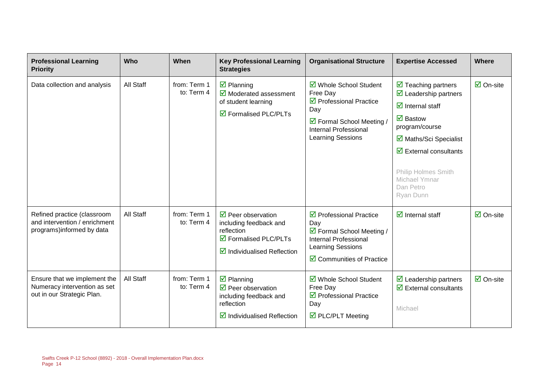| <b>Professional Learning</b><br><b>Priority</b>                                            | Who       | When                       | <b>Key Professional Learning</b><br><b>Strategies</b>                                                                                                      | <b>Organisational Structure</b>                                                                                                                                       | <b>Expertise Accessed</b>                                                                                                                                                                                                                                                                                     | <b>Where</b>              |
|--------------------------------------------------------------------------------------------|-----------|----------------------------|------------------------------------------------------------------------------------------------------------------------------------------------------------|-----------------------------------------------------------------------------------------------------------------------------------------------------------------------|---------------------------------------------------------------------------------------------------------------------------------------------------------------------------------------------------------------------------------------------------------------------------------------------------------------|---------------------------|
| Data collection and analysis                                                               | All Staff | from: Term 1<br>to: Term 4 | $\overline{\mathbf{z}}$ Planning<br>$\overline{\mathbf{y}}$ Moderated assessment<br>of student learning<br>$\boxtimes$ Formalised PLC/PLTs                 | ☑ Whole School Student<br>Free Day<br>$\triangledown$ Professional Practice<br>Day<br>☑ Formal School Meeting /<br><b>Internal Professional</b><br>Learning Sessions  | $\triangleright$ Teaching partners<br>$\triangleright$ Leadership partners<br>$\overline{\mathbf{d}}$ Internal staff<br>$\boxdot$ Bastow<br>program/course<br>☑ Maths/Sci Specialist<br>$\overline{\mathbf{u}}$ External consultants<br><b>Philip Holmes Smith</b><br>Michael Ymnar<br>Dan Petro<br>Ryan Dunn | $\overline{\Box}$ On-site |
| Refined practice (classroom<br>and intervention / enrichment<br>programs) informed by data | All Staff | from: Term 1<br>to: Term 4 | $\triangledown$ Peer observation<br>including feedback and<br>reflection<br>$\boxtimes$ Formalised PLC/PLTs<br>$\boxtimes$ Individualised Reflection       | $\triangledown$ Professional Practice<br>Day<br>☑ Formal School Meeting /<br><b>Internal Professional</b><br>Learning Sessions<br>$\boxtimes$ Communities of Practice | $\overline{\mathbf{d}}$ Internal staff                                                                                                                                                                                                                                                                        | $\overline{\Box}$ On-site |
| Ensure that we implement the<br>Numeracy intervention as set<br>out in our Strategic Plan. | All Staff | from: Term 1<br>to: Term 4 | $\overline{\mathbf{z}}$ Planning<br>$\triangledown$ Peer observation<br>including feedback and<br>reflection<br>$\triangleright$ Individualised Reflection | ☑ Whole School Student<br>Free Day<br>☑ Professional Practice<br>Day<br>$\triangledown$ PLC/PLT Meeting                                                               | $\triangleright$ Leadership partners<br>$\overline{\mathbf{u}}$ External consultants<br>Michael                                                                                                                                                                                                               | $\boxdot$ On-site         |